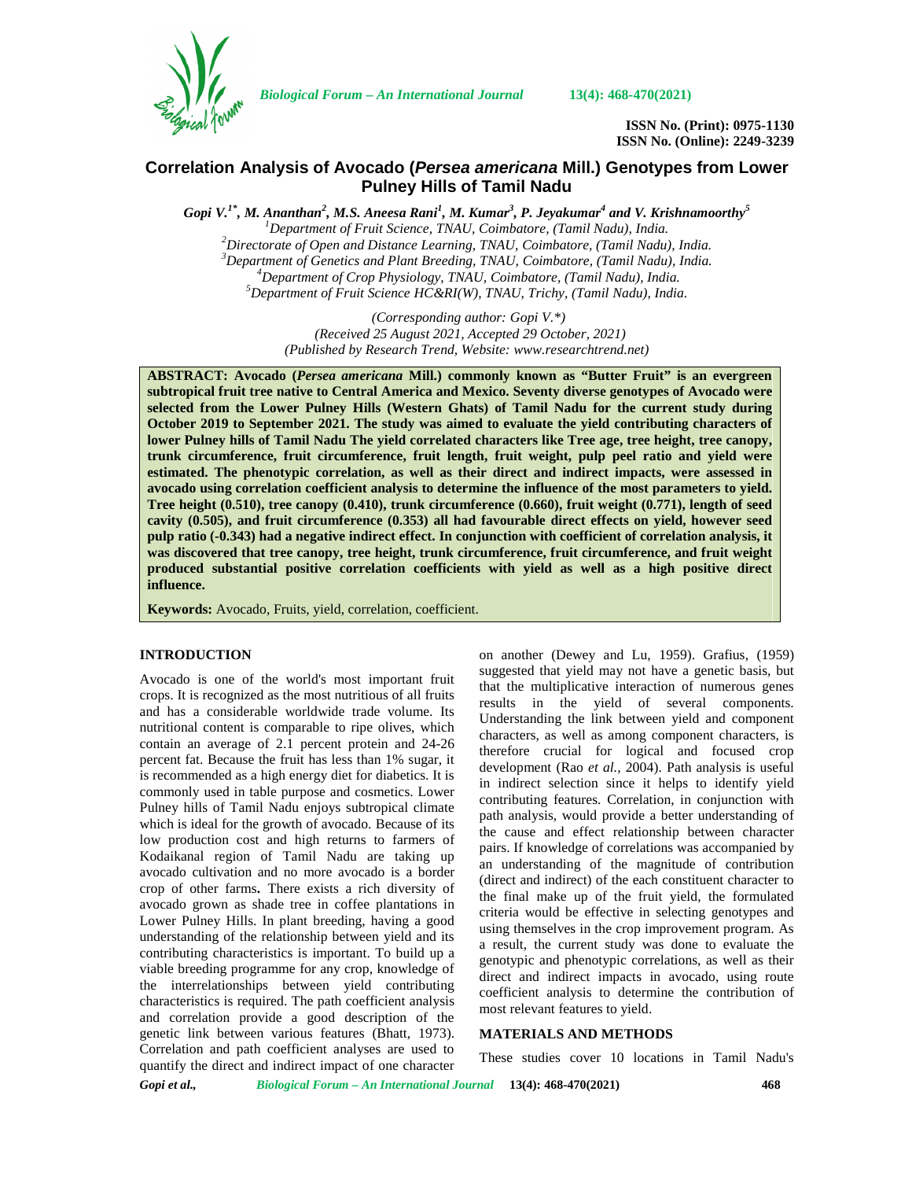

*Biological Forum – An International Journal* **13(4): 468-470(2021)**

**ISSN No. (Print): 0975-1130 ISSN No. (Online): 2249-3239**

# **Correlation Analysis of Avocado (***Persea americana* **Mill.) Genotypes from Lower Pulney Hills of Tamil Nadu**

 $G$ opi V. $^{1*}$ , M. Ananthan $^{2}$ , M.S. Aneesa Rani $^{1}$ , M. Kumar $^{3}$ , P. Jeyakumar $^{4}$  and V. Krishnamoorthy $^{5}$ <sup>1</sup>Department of Fruit Science, TNAU, Coimbatore, (Tamil Nadu), India.<br>
<sup>2</sup>Directorate of Open and Distance Learning, TNAU, Coimbatore, (Tamil Nadu), India.<br>
<sup>3</sup>Department of Genetics and Plant Breeding, TNAU, Coimbatore,

*(Corresponding author: Gopi V.\*) (Received 25 August 2021, Accepted 29 October, 2021) (Published by Research Trend, Website: [www.researchtrend.net\)](www.researchtrend.net)*

**ABSTRACT: Avocado (***Persea americana* **Mill.) commonly known as "Butter Fruit" is an evergreen subtropical fruit tree native to Central America and Mexico. Seventy diverse genotypes of Avocado were selected from the Lower Pulney Hills (Western Ghats) of Tamil Nadu for the current study during October 2019 to September 2021. The study was aimed to evaluate the yield contributing characters of lower Pulney hills of Tamil Nadu The yield correlated characters like Tree age, tree height, tree canopy, trunk circumference, fruit circumference, fruit length, fruit weight, pulp peel ratio and yield were estimated. The phenotypic correlation, as well as their direct and indirect impacts, were assessed in avocado using correlation coefficient analysis to determine the influence of the most parameters to yield. Tree height (0.510), tree canopy (0.410), trunk circumference (0.660), fruit weight (0.771), length of seed cavity (0.505), and fruit circumference (0.353) all had favourable direct effects on yield, however seed pulp ratio (-0.343) had a negative indirect effect. In conjunction with coefficient of correlation analysis, it was discovered that tree canopy, tree height, trunk circumference, fruit circumference, and fruit weight produced substantial positive correlation coefficients with yield as well as a high positive direct influence.**

**Keywords:** Avocado, Fruits, yield, correlation, coefficient.

## **INTRODUCTION**

Avocado is one of the world's most important fruit crops. It is recognized as the most nutritious of all fruits and has a considerable worldwide trade volume. Its nutritional content is comparable to ripe olives, which contain an average of 2.1 percent protein and 24-26 percent fat. Because the fruit has less than 1% sugar, it is recommended as a high energy diet for diabetics. It is commonly used in table purpose and cosmetics. Lower Pulney hills of Tamil Nadu enjoys subtropical climate which is ideal for the growth of avocado. Because of its low production cost and high returns to farmers of Kodaikanal region of Tamil Nadu are taking up avocado cultivation and no more avocado is a border crop of other farms**.** There exists a rich diversity of avocado grown as shade tree in coffee plantations in Lower Pulney Hills. In plant breeding, having a good understanding of the relationship between yield and its contributing characteristics is important. To build up a viable breeding programme for any crop, knowledge of the interrelationships between yield contributing characteristics is required. The path coefficient analysis and correlation provide a good description of the genetic link between various features (Bhatt, 1973). Correlation and path coefficient analyses are used to quantify the direct and indirect impact of one character

on another (Dewey and Lu, 1959). Grafius, (1959) suggested that yield may not have a genetic basis, but that the multiplicative interaction of numerous genes results in the yield of several components. Understanding the link between yield and component characters, as well as among component characters, is therefore crucial for logical and focused crop development (Rao *et al.,* 2004). Path analysis is useful in indirect selection since it helps to identify yield contributing features. Correlation, in conjunction with path analysis, would provide a better understanding of the cause and effect relationship between character pairs. If knowledge of correlations was accompanied by an understanding of the magnitude of contribution (direct and indirect) of the each constituent character to the final make up of the fruit yield, the formulated criteria would be effective in selecting genotypes and using themselves in the crop improvement program. As a result, the current study was done to evaluate the genotypic and phenotypic correlations, as well as their direct and indirect impacts in avocado, using route coefficient analysis to determine the contribution of most relevant features to yield.

### **MATERIALS AND METHODS**

These studies cover 10 locations in Tamil Nadu's

*Gopi et al., Biological Forum – An International Journal* **13(4): 468-470(2021) 468**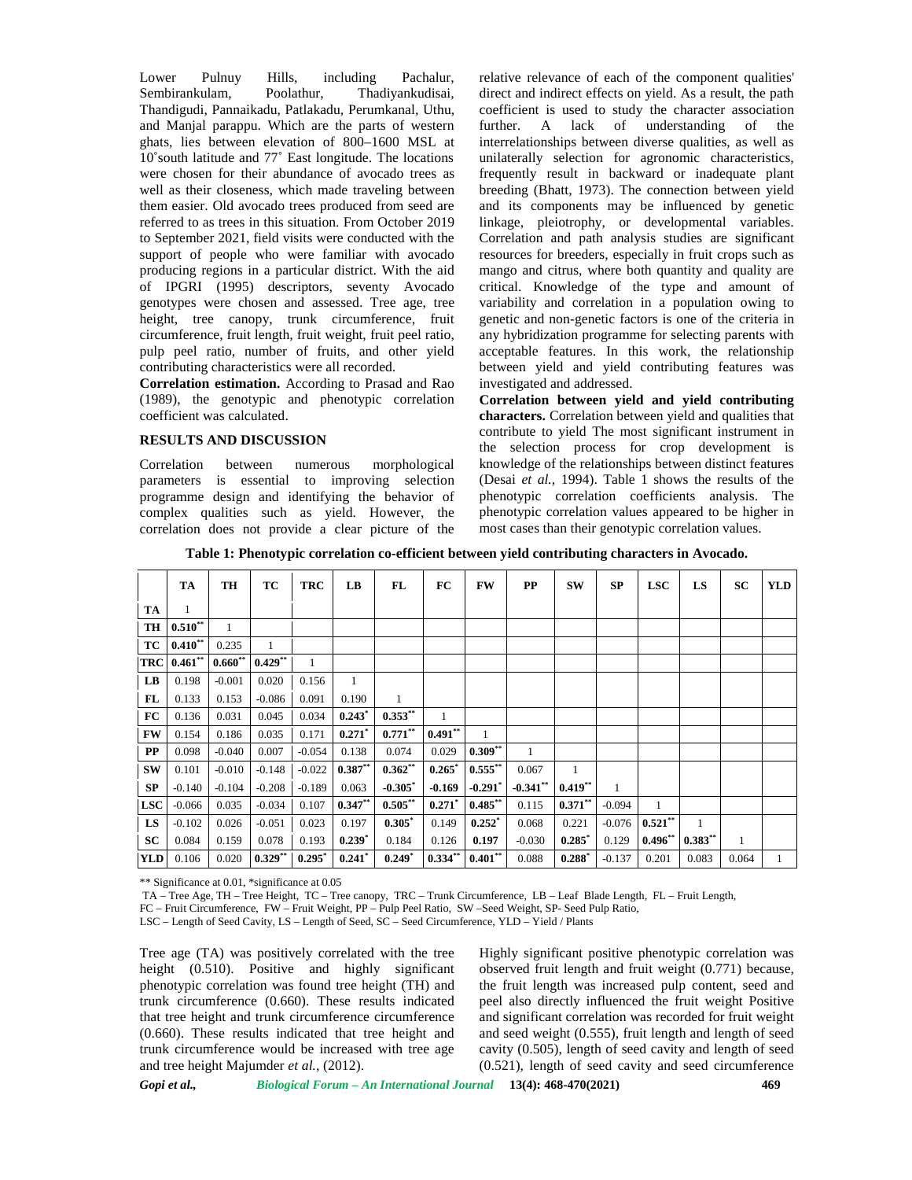Lower Pulnuy Hills, including Pachalur, Sembirankulam, Poolathur, Thadiyankudisai, Thandigudi, Pannaikadu, Patlakadu, Perumkanal, Uthu, and Manjal parappu. Which are the parts of western ghats, lies between elevation of 800–1600 MSL at 10˚south latitude and 77˚ East longitude. The locations were chosen for their abundance of avocado trees as well as their closeness, which made traveling between them easier. Old avocado trees produced from seed are referred to as trees in this situation. From October 2019 to September 2021, field visits were conducted with the support of people who were familiar with avocado producing regions in a particular district. With the aid of IPGRI (1995) descriptors, seventy Avocado genotypes were chosen and assessed. Tree age, tree height, tree canopy, trunk circumference, fruit circumference, fruit length, fruit weight, fruit peel ratio, pulp peel ratio, number of fruits, and other yield contributing characteristics were all recorded.

**Correlation estimation.** According to Prasad and Rao (1989), the genotypic and phenotypic correlation coefficient was calculated.

#### **RESULTS AND DISCUSSION**

Correlation between numerous morphological parameters is essential to improving selection programme design and identifying the behavior of complex qualities such as yield. However, the correlation does not provide a clear picture of the relative relevance of each of the component qualities' direct and indirect effects on yield. As a result, the path coefficient is used to study the character association A lack of understanding of the interrelationships between diverse qualities, as well as unilaterally selection for agronomic characteristics, frequently result in backward or inadequate plant breeding (Bhatt, 1973). The connection between yield and its components may be influenced by genetic linkage, pleiotrophy, or developmental variables. Correlation and path analysis studies are significant resources for breeders, especially in fruit crops such as mango and citrus, where both quantity and quality are critical. Knowledge of the type and amount of variability and correlation in a population owing to genetic and non-genetic factors is one of the criteria in any hybridization programme for selecting parents with acceptable features. In this work, the relationship between yield and yield contributing features was investigated and addressed.

**Correlation between yield and yield contributing characters.** Correlation between yield and qualities that contribute to yield The most significant instrument in the selection process for crop development is knowledge of the relationships between distinct features (Desai *et al.,* 1994). Table 1 shows the results of the phenotypic correlation coefficients analysis. The phenotypic correlation values appeared to be higher in most cases than their genotypic correlation values.

**Table 1: Phenotypic correlation co-efficient between yield contributing characters in Avocado.**

|                        | TA          | TH        | TC         | <b>TRC</b> | LB         | FL                   | FC         | <b>FW</b>  | $\bf PP$   | <b>SW</b>    | SP       | <b>LSC</b>   | LS        | <b>SC</b> | <b>YLD</b> |
|------------------------|-------------|-----------|------------|------------|------------|----------------------|------------|------------|------------|--------------|----------|--------------|-----------|-----------|------------|
| TA                     |             |           |            |            |            |                      |            |            |            |              |          |              |           |           |            |
| TH                     | $0.510**$   |           |            |            |            |                      |            |            |            |              |          |              |           |           |            |
| TC                     | $0.410***$  | 0.235     |            |            |            |                      |            |            |            |              |          |              |           |           |            |
|                        | TRC 0.461** | $0.660**$ | $0.429***$ | 1          |            |                      |            |            |            |              |          |              |           |           |            |
| $\mathbf{L}\mathbf{B}$ | 0.198       | $-0.001$  | 0.020      | 0.156      | 1          |                      |            |            |            |              |          |              |           |           |            |
| FL                     | 0.133       | 0.153     | $-0.086$   | 0.091      | 0.190      | $\mathbf{1}$         |            |            |            |              |          |              |           |           |            |
| <b>FC</b>              | 0.136       | 0.031     | 0.045      | 0.034      | 0.243      | $0.353***$           |            |            |            |              |          |              |           |           |            |
| <b>FW</b>              | 0.154       | 0.186     | 0.035      | 0.171      | 0.271      | $0.771***$           | $0.491***$ | 1          |            |              |          |              |           |           |            |
| $\bf PP$               | 0.098       | $-0.040$  | 0.007      | $-0.054$   | 0.138      | 0.074                | 0.029      | $0.309***$ |            |              |          |              |           |           |            |
| <b>SW</b>              | 0.101       | $-0.010$  | $-0.148$   | $-0.022$   | $0.387***$ | $0.362**$            | 0.265      | $0.555***$ | 0.067      | $\mathbf{1}$ |          |              |           |           |            |
| SP                     | $-0.140$    | $-0.104$  | $-0.208$   | $-0.189$   | 0.063      | $-0.305$             | $-0.169$   | $-0.291$   | $-0.341**$ | $0.419***$   |          |              |           |           |            |
| <b>LSC</b>             | $-0.066$    | 0.035     | $-0.034$   | 0.107      | $0.347**$  | $0.505***$           | 0.271      | $0.485***$ | 0.115      | $0.371***$   | $-0.094$ | 1            |           |           |            |
| LS.                    | $-0.102$    | 0.026     | $-0.051$   | 0.023      | 0.197      | $0.305^*$            | 0.149      | $0.252*$   | 0.068      | 0.221        | $-0.076$ | $0.521***$   |           |           |            |
| SC                     | 0.084       | 0.159     | 0.078      | 0.193      | $0.239*$   | 0.184                | 0.126      | 0.197      | $-0.030$   | 0.285        | 0.129    | $0.496^{**}$ | $0.383**$ |           |            |
| <b>YLD</b>             | 0.106       | 0.020     | $0.329***$ | 0.295      | 0.241      | $0.249$ <sup>*</sup> | $0.334***$ | $0.401***$ | 0.088      | $0.288*$     | $-0.137$ | 0.201        | 0.083     | 0.064     |            |

\*\* Significance at 0.01, \*significance at 0.05

TA – Tree Age, TH – Tree Height, TC – Tree canopy, TRC – Trunk Circumference, LB – Leaf Blade Length, FL – Fruit Length,

FC – Fruit Circumference, FW – Fruit Weight, PP – Pulp Peel Ratio, SW –Seed Weight, SP- Seed Pulp Ratio,

LSC – Length of Seed Cavity, LS – Length of Seed, SC – Seed Circumference, YLD – Yield / Plants

Tree age (TA) was positively correlated with the tree height (0.510). Positive and highly significant phenotypic correlation was found tree height (TH) and trunk circumference (0.660). These results indicated that tree height and trunk circumference circumference (0.660). These results indicated that tree height and trunk circumference would be increased with tree age and tree height Majumder *et al.,* (2012).

Highly significant positive phenotypic correlation was observed fruit length and fruit weight (0.771) because, the fruit length was increased pulp content, seed and peel also directly influenced the fruit weight Positive and significant correlation was recorded for fruit weight and seed weight (0.555), fruit length and length of seed cavity (0.505), length of seed cavity and length of seed (0.521), length of seed cavity and seed circumference